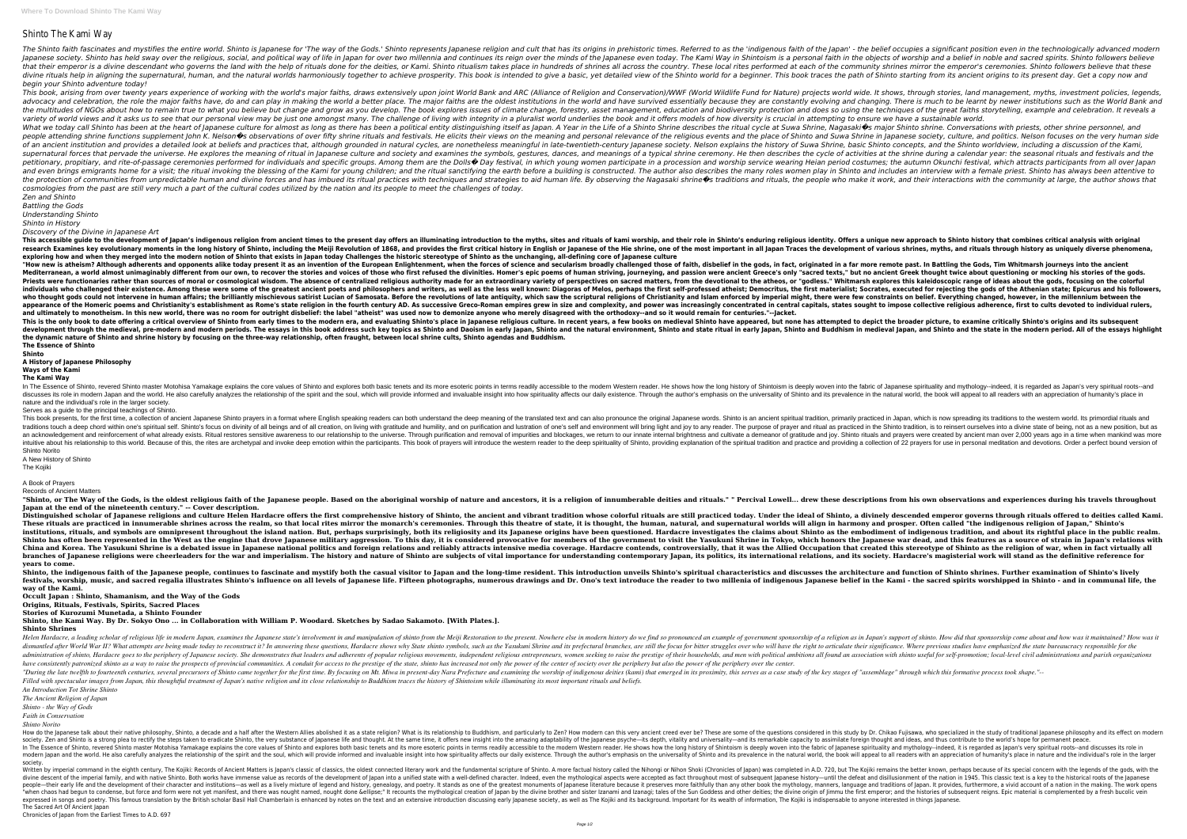# Shinto The Kami Way

The Shinto faith fascinates and mystifies the entire world. Shinto is Japanese for 'The way of the Gods.' Shinto represents Japanese religion and cult that has its origins in prehistoric times. Referred to as the 'indigeno Iapanese society. Shinto has held sway over the religious, social, and political way of life in Japan for over two millennia and continues its reign over the minds of the Japanese even today. The Kami Way in Shintoism is a that their emperor is a divine descendant who governs the land with the help of rituals done for the deities, or Kami. Shinto ritualism takes place in hundreds of shrines all across the community shrines mirror the emperor divine rituals help in aligning the supernatural, human, and the natural worlds harmoniously together to achieve prosperity. This book is intended to give a basic, yet detailed view of the Shinto starting from its ancient *begin your Shinto adventure today!*

This book, arising from over twenty years experience of working with the world's major faiths, draws extensively upon joint World Bank and ARC (Alliance of Religion and Conservation)/WWF (World Wildlife Fund for Nature) pr advocacy and celebration, the role the major faiths have, do and can play in making the world a better place. The major faiths are the oldest institutions in the world and have survived essentially because they are constan the multitudes of NGOs about how to remain true to what you believe but change and grow as you develop. The book explores issues of climate change, forestry, asset management, education and does so using the techniques of variety of world views and it asks us to see that our personal view may be just one amongst many. The challenge of living with integrity in a pluralist world underlies the book and it offers models of how diversity is cruc What we today call Shinto has been at the heart of Japanese culture for almost as long as there has been a political entity distinguishing itself as Japan. A Year in the Life of a Shinto Shrine, Nagasaki $\bullet$ s major Shinto people attending shrine functions supplement John K. Nelson�s observations of over fifty shrine rituals and festivals. He elicits their views on the meaning and bersonal relevance of Shinto and Suwa Shrine in Japanese soci of an ancient institution and provides a detailed look at beliefs and practices that, although grounded in natural cycles, are nonetheless meaningful in late-twentieth-century Japanese society. Nelson explains the history supernatural forces that pervade the universe. He explores the meaning of ritual in Japanese culture and society and examines the symbols, gestures, dances, and meanings of a typical shrine ceremony. He then describes at t petitionary, propitiary, and rite-of-passage ceremonies performed for individuals and specific groups. Among them are the Dolls $\hat{\bullet}$  Day festival, in which young women participate in a procession and worship service wea and even brings emigrants home for a visit; the ritual invoking the blessing of the Kami for young children; and the ritual sanctifying the earth before a building is constructed. The author also describes an interview wit the protection of communities from unpredictable human and divine forces and has imbued its ritual practices with techniques and strategies to aid human life. By observing the Nagasaki shrine  $\bullet$ s traditions and rituals, *cosmologies from the past are still very much a part of the cultural codes utilized by the nation and its people to meet the challenges of today. Zen and Shinto*

This accessible guide to the development of Japan's indigenous religion from ancient times to the present day offers an illuminating introduction to the myths, sites and rituals of kami worship, and their role in Shinto. O research Examines key evolutionary moments in the long history of Shinto, including the Meiji Revolution of 1868, and provides the first critical history in English or Japan Traces the development of various shrines, myths **exploring how and when they merged into the modern notion of Shinto that exists in Japan today Challenges the historic stereotype of Shinto as the unchanging, all-defining core of Japanese culture** "How new is atheism? Although adherents and opponents alike today present it as an invention of the European Enlightenment, when the forces of science and secularism broadly challenged those of faith, disbelief in the forc Mediterranean, a world almost unimaginably different from our own, to recover the stories and voices of those who first refused the divinities. Homer's epic poems of human striving, journeying, and passion were ancient Gre Priests were functionaries rather than sources of moral or cosmological wisdom. The absence of centralized religious authority made for an extraordinary variety of perspectives on sacred matters, from the devotional to the individuals who challenged their existence. Among these were some of the greatest ancient poets and philosophers and philosophers and writers, as well as the first self-professed atheist: Democritus, the first materialist: who thought gods could not intervene in human affairs; the brilliantly mischievous satirist Lucian of Samosata. Before the revolutions of late antiquity, which saw the scriptural religions of late antiquity, which saw the appearance of the Homeric poems and Christianity's establishment as Rome's state religion in the fourth century AD. As successive Greco-Roman empires grew in size and complexity, and power was increasingly concentrated in and ultimately to monotheism. In this new world, there was no room for outright disbelief: the label "atheist" was used now to demonize anyone who merely disagreed with the orthodoxy--and so it would remain for centuries." This is the only book to date offering a critical overview of Shinto from early times to the modern era, and evaluating Shinto's place in Japanese religious culture. In recent years, a few books on medieval Shinto's place development through the medieval, pre-modern and modern periods. The essays in this book address such key topics as Shinto and Buddhism in medieval Japan, and Shinto and the state in the modern period. All of the essays hi **the dynamic nature of Shinto and shrine history by focusing on the three-way relationship, often fraught, between local shrine cults, Shinto agendas and Buddhism. The Essence of Shinto Shinto**

In The Essence of Shinto, revered Shinto master Motohisa Yamakage explains the core values of Shinto and explores both basic tenets and its more esoteric points in terms reader. He shows how the long history of Shintoism i discusses its role in modern Japan and the world. He also carefully analyzes the relationship of the spirit and the soul, which will provide informed and its prevalence in the natural world, the book will appeal to all rea nature and the individual's role in the larger society.

*Battling the Gods Understanding Shinto Shinto in History*

*Discovery of the Divine in Japanese Art*

This book presents, for the first time, a collection of ancient Japanese Shinto prayers in a format where English speaking readers can both understand the deep meaning of the translated text and can also pronounce the orig traditions touch a deep chord within one's spiritual self. Shinto's focus on divinity of all beings and of all beings and of all creation, on living with gratitude and humility, and on purification and lustration of one's an acknowledgement and reinforcement of what already exists. Ritual restores sensitive awareness to our relationship to the universe. Through purification and removal of impurities and blockages, we return to our innate in intuitive about his relationship to this world. Because of this, the rites are archetypal and invoke deep emotion within the participants. This book of prayers will introduce the western reader to the deep spirituality of Shinto Norito

"Shinto, or The Way of the Gods, is the oldest religious faith of the Japanese people. Based on the aboriginal worship of nature and ancestors, it is a religion of innumberable deities and rituals." " Percival Lowell... dr **Japan at the end of the nineteenth century." -- Cover description.**

Distinguished scholar of Japanese religions and culture Helen Hardacre offers the first comprehensive history of Shinto, the ancient and vibrant tradition whose colorful rituals are still practiced today. Under the ideal o These rituals are practiced in innumerable shrines across the realm, so that local rites mirror the monarch's ceremonies. Through this theatre of state, it is thought, the human, natural, and supernatural worlds will align institutions, rituals, and symbols are omnipresent throughout the island nation. But, perhaps surprisingly, both its religiosity and its Japanese origins have been questioned. Hardacre investigates the claims about Shinto Shinto has often been represented in the West as the engine that drove Japanese military aggression. To this day, it is considered provocative for members of the government to visit the Yasukuni Shrine in Tokyo, which hono China and Korea. The Yasukuni Shrine is a debated issue in Japanese national politics and foreign relations and foreign relations and reliably attracts intensive media coverage. Hardacre contends, controversially, that it branches of Japanese religions were cheerleaders for the war and imperialism. The history and nature of Shinto are subjects of vital importance for understanding contemporary Japan, its politics, its international relation **years to come.**

Shinto, the indigenous faith of the Japanese people, continues to fascinate and mystify both the casual visitor to Japan and the long-time resident. This introduction unveils Shinto's spiritual characteristics and discusse festivals, worship, music, and sacred regalia illustrates Shinto's influence on all levels of Japanese life. Fifteen photographs, numerous drawings and Dr. Ono's text introduce the reader to two millenia of indigenous Japa **way of the Kami.**

Helen Hardacre, a leading scholar of religious life in modern Japan, examines the Japanese state's involvement in and manipulation of shinto from the Meiji Restoration to the present. Nowhere else in modern history do we f dismantled after World War II? What attempts are being made today to reconstruct it? In answering these questions, Hardacre shows why State shinto symbols, such as the Yasukuni Shrine and its prefectural branches, are stil administration of shinto, Hardacre goes to the periphery of Japanese society. She demonstrates that leaders and adherents of popular religious movements, independent religious movements, independent religious and an associ have consistently patronized shinto as a way to raise the prospects of provincial communities. A conduit for access to the prestige of the state, shinto has increased not only the power of the center of society over the pe "During the late twelfth to fourteenth centuries, several precursors of Shinto came together for the first time. By focusing on Mt. Miwa in present-day Nara Prefecture and examining the worship of indigenous deities (kami) Filled with spectacular images from Japan, this thoughtful treatment of Japan's native religion and its close relationship to Buddhism traces the history of Shintoism while illuminating its most important rituals and belie *An Introduction Tot Shrine Shinto*

## **A History of Japanese Philosophy Ways of the Kami The Kami Way**

How do the Japanese talk about their native philosophy, Shinto, a decade and a half after the Western Allies abolished it as a state religion? What is its relationship to Buddhism, and particularly by Dr. Chikao Fujisawa, society. Zen and Shinto is a strong plea to rectify the steps taken to eradicate Shinto, the very substance of Japanese life and thought. At the same time, it offers new insight into the amarkable capacity to assimilate fo In The Essence of Shinto, revered Shinto master Motohisa Yamakage explains the core values of Shinto and explores both basic tenets and its more esoteric points in terms readily accessible to the modern Western reader. He modern Japan and the world. He also carefully analyzes the relationship of the spirit and the soul, which will provide informed and invaluable insight into how spirituality affects our daily existence. Through the author's society.

Serves as a guide to the principal teachings of Shinto.

Written by imperial command in the eighth century, The Kojiki: Records of Ancient Matters is Japan's classic of classics, the oldest connected literary work and the fundamental scripture of Shinto. A more factual history c divine descent of the imperial family, and with native Shinto. Both works have immense value as records of the development of Japan into a unified state with a well-defined character. Indeed, even the mythological aspects people—their early life and the development of their character and institutions—as well as a lively mixture of legend and history, genealogy, manners, language and traditions of Japan. It provides, furthermore, a vivid acc "when chaos had begun to condense, but force and form were not yet manifest, and there was nought named, nought done &ellipse;" It recounts the divine brother and sister Izanami and Izanagi; tales of the Sun Goddess and ot expressed in songs and poetry. This famous translation by the British scholar Basil Hall Chamberlain is enhanced by notes on the text and an extensive introduction discussing early lapanese society, as well as The Kojiki a The Sacred Art Of Ancient Japan

A New History of Shinto The Kojiki

### A Book of Prayers

Records of Ancient Matters

**Occult Japan : Shinto, Shamanism, and the Way of the Gods**

**Origins, Rituals, Festivals, Spirits, Sacred Places**

**Stories of Kurozumi Munetada, a Shinto Founder**

**Shinto, the Kami Way. By Dr. Sokyo Ono ... in Collaboration with William P. Woodard. Sketches by Sadao Sakamoto. [With Plates.]. Shinto Shrines**

*The Ancient Religion of Japan*

*Shinto - the Way of Gods*

*Faith in Conservation*

*Shinto Norito*

Chronicles of Japan from the Earliest Times to A.D. 697